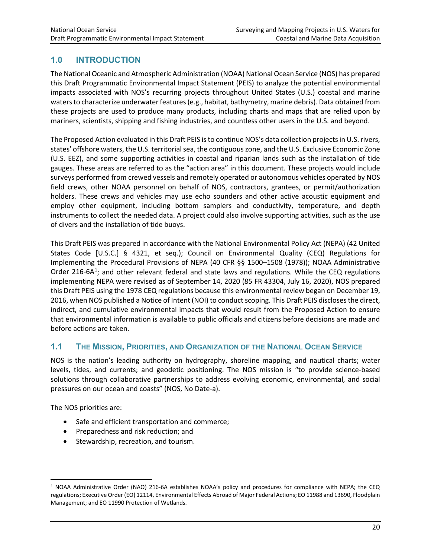# **1.0 INTRODUCTION**

The National Oceanic and Atmospheric Administration (NOAA) National Ocean Service (NOS) has prepared this Draft Programmatic Environmental Impact Statement (PEIS) to analyze the potential environmental impacts associated with NOS's recurring projects throughout United States (U.S.) coastal and marine waters to characterize underwater features (e.g., habitat, bathymetry, marine debris). Data obtained from these projects are used to produce many products, including charts and maps that are relied upon by mariners, scientists, shipping and fishing industries, and countless other users in the U.S. and beyond.

The Proposed Action evaluated in this Draft PEIS is to continue NOS's data collection projects in U.S. rivers, states' offshore waters, the U.S. territorial sea, the contiguous zone, and the U.S. Exclusive Economic Zone (U.S. EEZ), and some supporting activities in coastal and riparian lands such as the installation of tide gauges. These areas are referred to as the "action area" in this document. These projects would include surveys performed from crewed vessels and remotely operated or autonomous vehicles operated by NOS field crews, other NOAA personnel on behalf of NOS, contractors, grantees, or permit/authorization holders. These crews and vehicles may use echo sounders and other active acoustic equipment and employ other equipment, including bottom samplers and conductivity, temperature, and depth instruments to collect the needed data. A project could also involve supporting activities, such as the use of divers and the installation of tide buoys.

This Draft PEIS was prepared in accordance with the National Environmental Policy Act (NEPA) (42 United States Code [U.S.C.] § 4321, et seq.); Council on Environmental Quality (CEQ) Regulations for Implementing the Procedural Provisions of NEPA (40 CFR §§ 1500–1508 (1978)); NOAA Administrative Order 2[1](#page-0-0)6-6A<sup>1</sup>; and other relevant federal and state laws and regulations. While the CEQ regulations implementing NEPA were revised as of September 14, 2020 (85 FR 43304, July 16, 2020), NOS prepared this Draft PEIS using the 1978 CEQ regulations because this environmental review began on December 19, 2016, when NOS published a Notice of Intent (NOI) to conduct scoping. This Draft PEIS discloses the direct, indirect, and cumulative environmental impacts that would result from the Proposed Action to ensure that environmental information is available to public officials and citizens before decisions are made and before actions are taken.

## **1.1 THE MISSION, PRIORITIES, AND ORGANIZATION OF THE NATIONAL OCEAN SERVICE**

NOS is the nation's leading authority on hydrography, shoreline mapping, and nautical charts; water levels, tides, and currents; and geodetic positioning. The NOS mission is "to provide science-based solutions through collaborative partnerships to address evolving economic, environmental, and social pressures on our ocean and coasts" (NOS, No Date-a).

The NOS priorities are:

- Safe and efficient transportation and commerce;
- Preparedness and risk reduction; and
- Stewardship, recreation, and tourism.

<span id="page-0-0"></span><sup>1</sup> NOAA Administrative Order (NAO) 216-6A establishes NOAA's policy and procedures for compliance with NEPA; the CEQ regulations; Executive Order (EO) 12114, Environmental Effects Abroad of Major Federal Actions; EO 11988 and 13690, Floodplain Management; and EO 11990 Protection of Wetlands.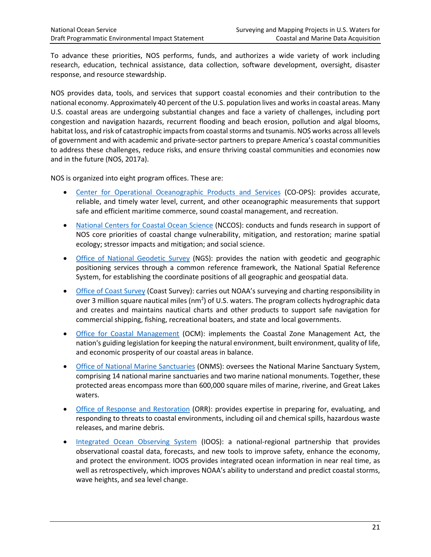To advance these priorities, NOS performs, funds, and authorizes a wide variety of work including research, education, technical assistance, data collection, software development, oversight, disaster response, and resource stewardship.

NOS provides data, tools, and services that support coastal economies and their contribution to the national economy. Approximately 40 percent of the U.S. population lives and works in coastal areas. Many U.S. coastal areas are undergoing substantial changes and face a variety of challenges, including port congestion and navigation hazards, recurrent flooding and beach erosion, pollution and algal blooms, habitat loss, and risk of catastrophic impacts from coastal storms and tsunamis. NOS works across all levels of government and with academic and private-sector partners to prepare America's coastal communities to address these challenges, reduce risks, and ensure thriving coastal communities and economies now and in the future (NOS, 2017a).

NOS is organized into eight program offices. These are:

- [Center for Operational Oceanographic Products and Services](https://tidesandcurrents.noaa.gov/) (CO-OPS): provides accurate, reliable, and timely water level, current, and other oceanographic measurements that support safe and efficient maritime commerce, sound coastal management, and recreation.
- [National Centers for Coastal Ocean Science](https://coastalscience.noaa.gov/) (NCCOS): conducts and funds research in support of NOS core priorities of coastal change vulnerability, mitigation, and restoration; marine spatial ecology; stressor impacts and mitigation; and social science.
- [Office of National Geodetic Survey](https://www.ngs.noaa.gov/) (NGS): provides the nation with geodetic and geographic positioning services through a common reference framework, the National Spatial Reference System, for establishing the coordinate positions of all geographic and geospatial data.
- [Office of Coast Survey](https://www.nauticalcharts.noaa.gov/) (Coast Survey): carries out NOAA's surveying and charting responsibility in over 3 million square nautical miles (nm<sup>2</sup>) of U.S. waters. The program collects hydrographic data and creates and maintains nautical charts and other products to support safe navigation for commercial shipping, fishing, recreational boaters, and state and local governments.
- [Office for Coastal Management](https://coast.noaa.gov/) (OCM): implements the Coastal Zone Management Act, the nation's guiding legislation for keeping the natural environment, built environment, quality of life, and economic prosperity of our coastal areas in balance.
- [Office of National Marine Sanctuaries](http://sanctuaries.noaa.gov/) (ONMS): oversees the National Marine Sanctuary System, comprising 14 national marine sanctuaries and two marine national monuments. Together, these protected areas encompass more than 600,000 square miles of marine, riverine, and Great Lakes waters.
- [Office of Response and Restoration](http://response.restoration.noaa.gov/) (ORR): provides expertise in preparing for, evaluating, and responding to threats to coastal environments, including oil and chemical spills, hazardous waste releases, and marine debris.
- [Integrated Ocean Observing System](https://ioos.noaa.gov/) (IOOS): a national-regional partnership that provides observational coastal data, forecasts, and new tools to improve safety, enhance the economy, and protect the environment. IOOS provides integrated ocean information in near real time, as well as retrospectively, which improves NOAA's ability to understand and predict coastal storms, wave heights, and sea level change.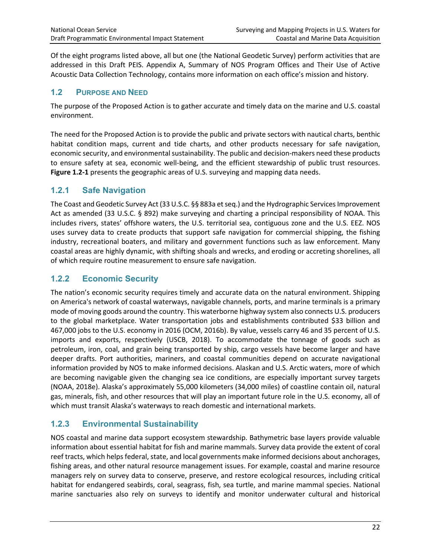Of the eight programs listed above, all but one (the National Geodetic Survey) perform activities that are addressed in this Draft PEIS. Appendix A, Summary of NOS Program Offices and Their Use of Active Acoustic Data Collection Technology, contains more information on each office's mission and history.

### **1.2 PURPOSE AND NEED**

The purpose of the Proposed Action is to gather accurate and timely data on the marine and U.S. coastal environment.

The need for the Proposed Action is to provide the public and private sectors with nautical charts, benthic habitat condition maps, current and tide charts, and other products necessary for safe navigation, economic security, and environmental sustainability. The public and decision-makers need these products to ensure safety at sea, economic well-being, and the efficient stewardship of public trust resources. **Figure 1.2-1** presents the geographic areas of U.S. surveying and mapping data needs.

## **1.2.1 Safe Navigation**

The Coast and Geodetic Survey Act (33 U.S.C. §§ 883a et seq.) and the Hydrographic Services Improvement Act as amended (33 U.S.C. § 892) make surveying and charting a principal responsibility of NOAA. This includes rivers, states' offshore waters, the U.S. territorial sea, contiguous zone and the U.S. EEZ. NOS uses survey data to create products that support safe navigation for commercial shipping, the fishing industry, recreational boaters, and military and government functions such as law enforcement. Many coastal areas are highly dynamic, with shifting shoals and wrecks, and eroding or accreting shorelines, all of which require routine measurement to ensure safe navigation.

## **1.2.2 Economic Security**

The nation's economic security requires timely and accurate data on the natural environment. Shipping on America's network of coastal waterways, navigable channels, ports, and marine terminals is a primary mode of moving goods around the country. This waterborne highway system also connects U.S. producers to the global marketplace. Water transportation jobs and establishments contributed \$33 billion and 467,000 jobs to the U.S. economy in 2016 (OCM, 2016b). By value, vessels carry 46 and 35 percent of U.S. imports and exports, respectively (USCB, 2018). To accommodate the tonnage of goods such as petroleum, iron, coal, and grain being transported by ship, cargo vessels have become larger and have deeper drafts. Port authorities, mariners, and coastal communities depend on accurate navigational information provided by NOS to make informed decisions. Alaskan and U.S. Arctic waters, more of which are becoming navigable given the changing sea ice conditions, are especially important survey targets (NOAA, 2018e). Alaska's approximately 55,000 kilometers (34,000 miles) of coastline contain oil, natural gas, minerals, fish, and other resources that will play an important future role in the U.S. economy, all of which must transit Alaska's waterways to reach domestic and international markets.

## **1.2.3 Environmental Sustainability**

NOS coastal and marine data support ecosystem stewardship. Bathymetric base layers provide valuable information about essential habitat for fish and marine mammals. Survey data provide the extent of coral reef tracts, which helps federal, state, and local governments make informed decisions about anchorages, fishing areas, and other natural resource management issues. For example, coastal and marine resource managers rely on survey data to conserve, preserve, and restore ecological resources, including critical habitat for endangered seabirds, coral, seagrass, fish, sea turtle, and marine mammal species. National marine sanctuaries also rely on surveys to identify and monitor underwater cultural and historical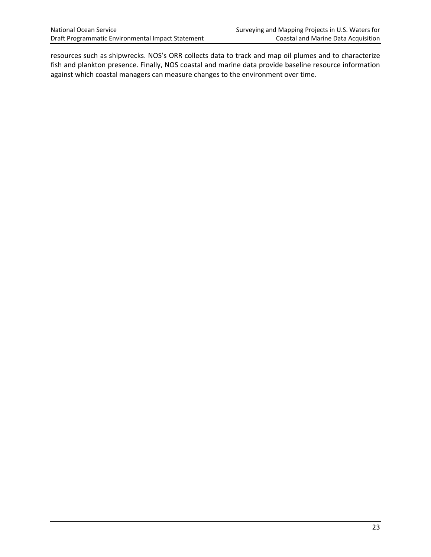resources such as shipwrecks. NOS's ORR collects data to track and map oil plumes and to characterize fish and plankton presence. Finally, NOS coastal and marine data provide baseline resource information against which coastal managers can measure changes to the environment over time.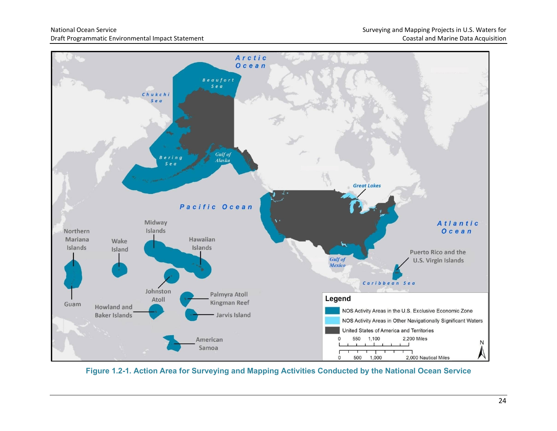

**Figure 1.2-1. Action Area for Surveying and Mapping Activities Conducted by the National Ocean Service**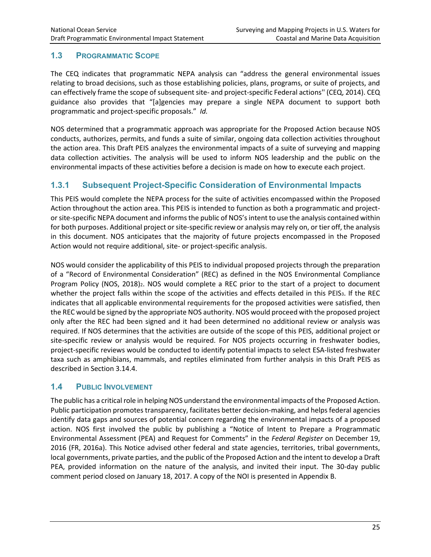#### **1.3 PROGRAMMATIC SCOPE**

The CEQ indicates that programmatic NEPA analysis can "address the general environmental issues relating to broad decisions, such as those establishing policies, plans, programs, or suite of projects, and can effectively frame the scope of subsequent site- and project-specific Federal actions'' (CEQ, 2014). CEQ guidance also provides that "[a]gencies may prepare a single NEPA document to support both programmatic and project-specific proposals." *Id.* 

NOS determined that a programmatic approach was appropriate for the Proposed Action because NOS conducts, authorizes, permits, and funds a suite of similar, ongoing data collection activities throughout the action area. This Draft PEIS analyzes the environmental impacts of a suite of surveying and mapping data collection activities. The analysis will be used to inform NOS leadership and the public on the environmental impacts of these activities before a decision is made on how to execute each project.

## **1.3.1 Subsequent Project-Specific Consideration of Environmental Impacts**

This PEIS would complete the NEPA process for the suite of activities encompassed within the Proposed Action throughout the action area. This PEIS is intended to function as both a programmatic and projector site-specific NEPA document and informs the public of NOS's intent to use the analysis contained within for both purposes. Additional project or site-specific review or analysis may rely on, or tier off, the analysis in this document. NOS anticipates that the majority of future projects encompassed in the Proposed Action would not require additional, site- or project-specific analysis.

NOS would consider the applicability of this PEIS to individual proposed projects through the preparation of a "Record of Environmental Consideration" (REC) as defined in the NOS Environmental Compliance Program Policy (NOS, 2018)2. NOS would complete a REC prior to the start of a project to document whether the project falls within the scope of the activities and effects detailed in this PEIS3. If the REC indicates that all applicable environmental requirements for the proposed activities were satisfied, then the REC would be signed by the appropriate NOS authority. NOS would proceed with the proposed project only after the REC had been signed and it had been determined no additional review or analysis was required. If NOS determines that the activities are outside of the scope of this PEIS, additional project or site-specific review or analysis would be required. For NOS projects occurring in freshwater bodies, project-specific reviews would be conducted to identify potential impacts to select ESA-listed freshwater taxa such as amphibians, mammals, and reptiles eliminated from further analysis in this Draft PEIS as described in Section 3.14.4.

#### **1.4 PUBLIC INVOLVEMENT**

The public has a critical role in helping NOS understand the environmental impacts of the Proposed Action. Public participation promotes transparency, facilitates better decision-making, and helps federal agencies identify data gaps and sources of potential concern regarding the environmental impacts of a proposed action. NOS first involved the public by publishing a "Notice of Intent to Prepare a Programmatic Environmental Assessment (PEA) and Request for Comments" in the *Federal Register* on December 19, 2016 (FR, 2016a). This Notice advised other federal and state agencies, territories, tribal governments, local governments, private parties, and the public of the Proposed Action and the intent to develop a Draft PEA, provided information on the nature of the analysis, and invited their input. The 30-day public comment period closed on January 18, 2017. A copy of the NOI is presented in Appendix B.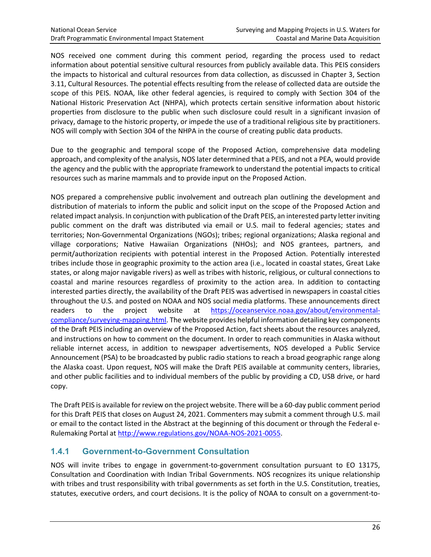NOS received one comment during this comment period, regarding the process used to redact information about potential sensitive cultural resources from publicly available data. This PEIS considers the impacts to historical and cultural resources from data collection, as discussed in Chapter 3, Section 3.11, Cultural Resources. The potential effects resulting from the release of collected data are outside the scope of this PEIS. NOAA, like other federal agencies, is required to comply with Section 304 of the National Historic Preservation Act (NHPA), which protects certain sensitive information about historic properties from disclosure to the public when such disclosure could result in a significant invasion of privacy, damage to the historic property, or impede the use of a traditional religious site by practitioners. NOS will comply with Section 304 of the NHPA in the course of creating public data products.

Due to the geographic and temporal scope of the Proposed Action, comprehensive data modeling approach, and complexity of the analysis, NOS later determined that a PEIS, and not a PEA, would provide the agency and the public with the appropriate framework to understand the potential impacts to critical resources such as marine mammals and to provide input on the Proposed Action.

NOS prepared a comprehensive public involvement and outreach plan outlining the development and distribution of materials to inform the public and solicit input on the scope of the Proposed Action and related impact analysis. In conjunction with publication of the Draft PEIS, an interested party letter inviting public comment on the draft was distributed via email or U.S. mail to federal agencies; states and territories; Non-Governmental Organizations (NGOs); tribes; regional organizations; Alaska regional and village corporations; Native Hawaiian Organizations (NHOs); and NOS grantees, partners, and permit/authorization recipients with potential interest in the Proposed Action. Potentially interested tribes include those in geographic proximity to the action area (i.e., located in coastal states, Great Lake states, or along major navigable rivers) as well as tribes with historic, religious, or cultural connections to coastal and marine resources regardless of proximity to the action area. In addition to contacting interested parties directly, the availability of the Draft PEIS was advertised in newspapers in coastal cities throughout the U.S. and posted on NOAA and NOS social media platforms. These announcements direct readers to the project website at [https://oceanservice.noaa.gov/about/environmental](https://oceanservice.noaa.gov/about/environmental-compliance/surveying-mapping.html)[compliance/surveying-mapping.html.](https://oceanservice.noaa.gov/about/environmental-compliance/surveying-mapping.html) The website provides helpful information detailing key components of the Draft PEIS including an overview of the Proposed Action, fact sheets about the resources analyzed, and instructions on how to comment on the document. In order to reach communities in Alaska without reliable internet access, in addition to newspaper advertisements, NOS developed a Public Service Announcement (PSA) to be broadcasted by public radio stations to reach a broad geographic range along the Alaska coast. Upon request, NOS will make the Draft PEIS available at community centers, libraries, and other public facilities and to individual members of the public by providing a CD, USB drive, or hard copy.

The Draft PEIS is available for review on the project website. There will be a 60-day public comment period for this Draft PEIS that closes on August 24, 2021. Commenters may submit a comment through U.S. mail or email to the contact listed in the Abstract at the beginning of this document or through the Federal e-Rulemaking Portal a[t http://www.regulations.gov/NOAA-NOS-2021-0055.](http://www.regulations.gov/NOAA-NOS-2021-0055)

## **1.4.1 Government-to-Government Consultation**

NOS will invite tribes to engage in government-to-government consultation pursuant to EO 13175, Consultation and Coordination with Indian Tribal Governments. NOS recognizes its unique relationship with tribes and trust responsibility with tribal governments as set forth in the U.S. Constitution, treaties, statutes, executive orders, and court decisions. It is the policy of NOAA to consult on a government-to